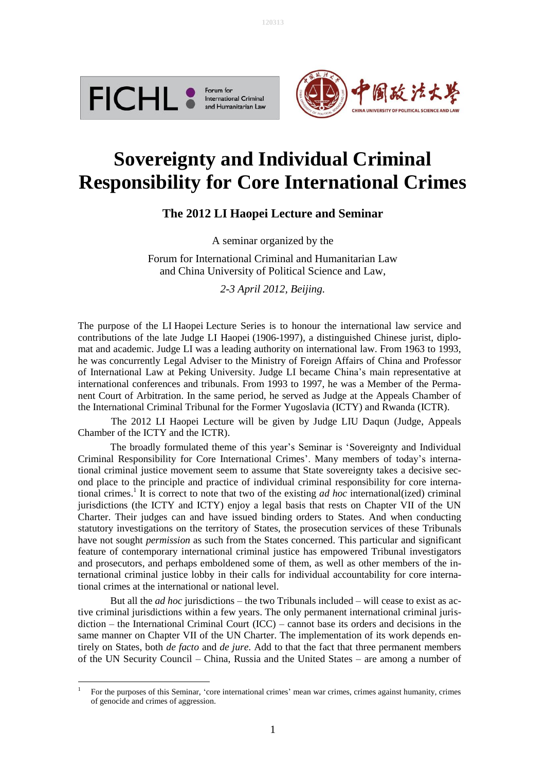





# **Sovereignty and Individual Criminal Responsibility for Core International Crimes**

Į.

## **The 2012 LI Haopei Lecture and Seminar**

A seminar organized by the

Forum for International Criminal and Humanitarian Law and China University of Political Science and Law,

*2-3 April 2012, Beijing.*

The purpose of the LI Haopei Lecture Series is to honour the international law service and contributions of the late Judge LI Haopei (1906-1997), a distinguished Chinese jurist, diplomat and academic. Judge LI was a leading authority on international law. From 1963 to 1993, he was concurrently Legal Adviser to the Ministry of Foreign Affairs of China and Professor of International Law at Peking University. Judge LI became China's main representative at international conferences and tribunals. From 1993 to 1997, he was a Member of the Permanent Court of Arbitration. In the same period, he served as Judge at the Appeals Chamber of the International Criminal Tribunal for the Former Yugoslavia (ICTY) and Rwanda (ICTR).

The 2012 LI Haopei Lecture will be given by Judge LIU Daqun (Judge, Appeals Chamber of the ICTY and the ICTR).

The broadly formulated theme of this year's Seminar is 'Sovereignty and Individual Criminal Responsibility for Core International Crimes'. Many members of today's international criminal justice movement seem to assume that State sovereignty takes a decisive second place to the principle and practice of individual criminal responsibility for core international crimes. 1 It is correct to note that two of the existing *ad hoc* international(ized) criminal jurisdictions (the ICTY and ICTY) enjoy a legal basis that rests on Chapter VII of the UN Charter. Their judges can and have issued binding orders to States. And when conducting statutory investigations on the territory of States, the prosecution services of these Tribunals have not sought *permission* as such from the States concerned. This particular and significant feature of contemporary international criminal justice has empowered Tribunal investigators and prosecutors, and perhaps emboldened some of them, as well as other members of the international criminal justice lobby in their calls for individual accountability for core international crimes at the international or national level.

But all the *ad hoc* jurisdictions – the two Tribunals included – will cease to exist as active criminal jurisdictions within a few years. The only permanent international criminal jurisdiction – the International Criminal Court (ICC) – cannot base its orders and decisions in the same manner on Chapter VII of the UN Charter. The implementation of its work depends entirely on States, both *de facto* and *de jure*. Add to that the fact that three permanent members of the UN Security Council – China, Russia and the United States – are among a number of

 $\frac{1}{1}$  For the purposes of this Seminar, 'core international crimes' mean war crimes, crimes against humanity, crimes of genocide and crimes of aggression.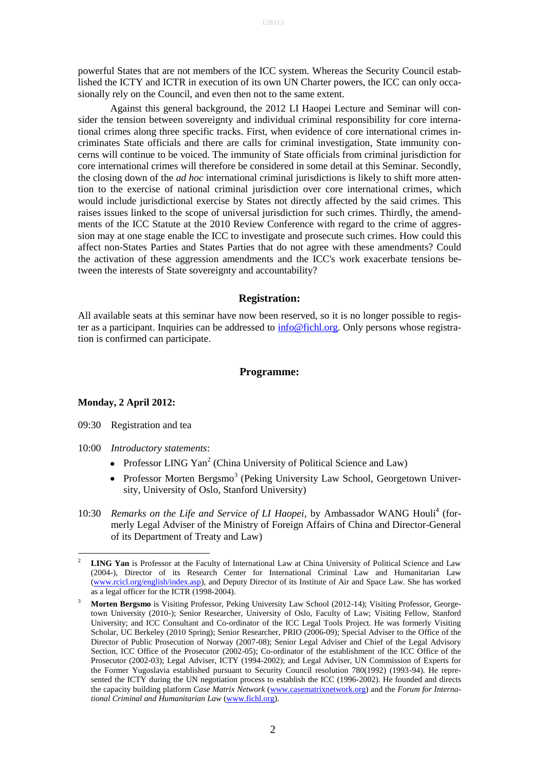powerful States that are not members of the ICC system. Whereas the Security Council established the ICTY and ICTR in execution of its own UN Charter powers, the ICC can only occasionally rely on the Council, and even then not to the same extent.

Against this general background, the 2012 LI Haopei Lecture and Seminar will consider the tension between sovereignty and individual criminal responsibility for core international crimes along three specific tracks. First, when evidence of core international crimes incriminates State officials and there are calls for criminal investigation, State immunity concerns will continue to be voiced. The immunity of State officials from criminal jurisdiction for core international crimes will therefore be considered in some detail at this Seminar. Secondly, the closing down of the *ad hoc* international criminal jurisdictions is likely to shift more attention to the exercise of national criminal jurisdiction over core international crimes, which would include jurisdictional exercise by States not directly affected by the said crimes. This raises issues linked to the scope of universal jurisdiction for such crimes. Thirdly, the amendments of the ICC Statute at the 2010 Review Conference with regard to the crime of aggression may at one stage enable the ICC to investigate and prosecute such crimes. How could this affect non-States Parties and States Parties that do not agree with these amendments? Could the activation of these aggression amendments and the ICC's work exacerbate tensions between the interests of State sovereignty and accountability?

#### **Registration:**

All available seats at this seminar have now been reserved, so it is no longer possible to register as a participant. Inquiries can be addressed to [info@fichl.org.](mailto:info@fichl.org) Only persons whose registration is confirmed can participate.

#### **Programme:**

#### **Monday, 2 April 2012:**

1

- 09:30 Registration and tea
- 10:00 *Introductory statements*:
	- Professor LING Yan<sup>2</sup> (China University of Political Science and Law)
	- Professor Morten Bergsmo<sup>3</sup> (Peking University Law School, Georgetown University, University of Oslo, Stanford University)
- 10:30 Remarks on the Life and Service of LI Haopei, by Ambassador WANG Houli<sup>4</sup> (formerly Legal Adviser of the Ministry of Foreign Affairs of China and Director-General of its Department of Treaty and Law)

<sup>2</sup> **LING Yan** is Professor at the Faculty of International Law at China University of Political Science and Law (2004-), Director of its Research Center for International Criminal Law and Humanitarian Law [\(www.rcicl.org/english/index.asp\)](http://www.rcicl.org/english/index.asp), and Deputy Director of its Institute of Air and Space Law. She has worked as a legal officer for the ICTR (1998-2004).

<sup>3</sup> **Morten Bergsmo** is Visiting Professor, Peking University Law School (2012-14); Visiting Professor, Georgetown University (2010-); Senior Researcher, University of Oslo, Faculty of Law; Visiting Fellow, Stanford University; and ICC Consultant and Co-ordinator of the ICC Legal Tools Project. He was formerly Visiting Scholar, UC Berkeley (2010 Spring); Senior Researcher, PRIO (2006-09); Special Adviser to the Office of the Director of Public Prosecution of Norway (2007-08); Senior Legal Adviser and Chief of the Legal Advisory Section, ICC Office of the Prosecutor (2002-05); Co-ordinator of the establishment of the ICC Office of the Prosecutor (2002-03); Legal Adviser, ICTY (1994-2002); and Legal Adviser, UN Commission of Experts for the Former Yugoslavia established pursuant to Security Council resolution 780(1992) (1993-94). He represented the ICTY during the UN negotiation process to establish the ICC (1996-2002). He founded and directs the capacity building platform *Case Matrix Network* [\(www.casematrixnetwork.org\)](http://www.casematrixnetwork.org/) and the *Forum for International Criminal and Humanitarian Law* [\(www.fichl.org\)](http://www.fichl.org/).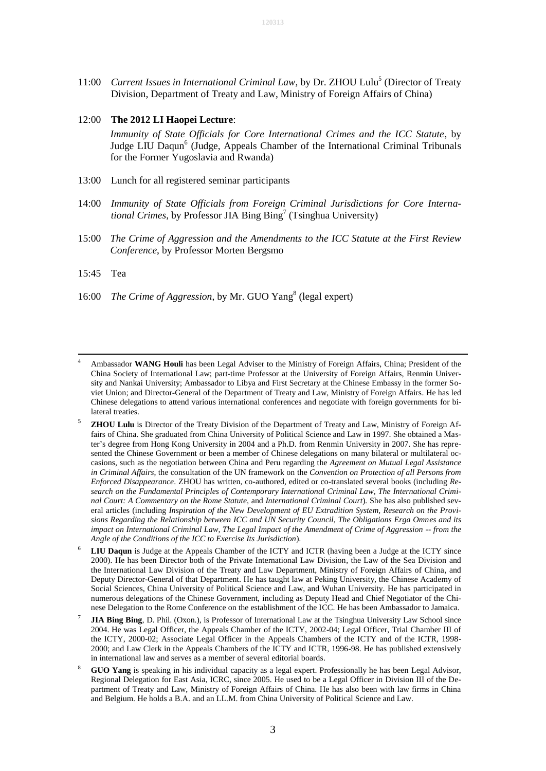11:00 Current Issues in International Criminal Law, by Dr. ZHOU Lulu<sup>5</sup> (Director of Treaty Division, Department of Treaty and Law, Ministry of Foreign Affairs of China)

### 12:00 **The 2012 LI Haopei Lecture**:

*Immunity of State Officials for Core International Crimes and the ICC Statute*, by Judge LIU Daqun<sup>6</sup> (Judge, Appeals Chamber of the International Criminal Tribunals for the Former Yugoslavia and Rwanda)

- 13:00 Lunch for all registered seminar participants
- 14:00 *Immunity of State Officials from Foreign Criminal Jurisdictions for Core Interna*tional Crimes, by Professor JIA Bing Bing<sup>7</sup> (Tsinghua University)
- 15:00 *The Crime of Aggression and the Amendments to the ICC Statute at the First Review Conference*, by Professor Morten Bergsmo
- 15:45 Tea

<u>.</u>

16:00 The Crime of Aggression, by Mr. GUO Yang<sup>8</sup> (legal expert)

- **LIU Daqun** is Judge at the Appeals Chamber of the ICTY and ICTR (having been a Judge at the ICTY since 2000). He has been Director both of the Private International Law Division, the Law of the Sea Division and the International Law Division of the Treaty and Law Department, Ministry of Foreign Affairs of China, and Deputy Director-General of that Department. He has taught law at Peking University, the Chinese Academy of Social Sciences, China University of Political Science and Law, and Wuhan University. He has participated in numerous delegations of the Chinese Government, including as Deputy Head and Chief Negotiator of the Chinese Delegation to the Rome Conference on the establishment of the ICC. He has been Ambassador to Jamaica.
- 7 **JIA Bing Bing**, D. Phil. (Oxon.), is Professor of International Law at the Tsinghua University Law School since 2004. He was Legal Officer, the Appeals Chamber of the ICTY, 2002-04; Legal Officer, Trial Chamber III of the ICTY, 2000-02; Associate Legal Officer in the Appeals Chambers of the ICTY and of the ICTR, 1998- 2000; and Law Clerk in the Appeals Chambers of the ICTY and ICTR, 1996-98. He has published extensively in international law and serves as a member of several editorial boards.
- 8  **GUO Yang** is speaking in his individual capacity as a legal expert. Professionally he has been Legal Advisor, Regional Delegation for East Asia, ICRC, since 2005. He used to be a Legal Officer in Division III of the Department of Treaty and Law, Ministry of Foreign Affairs of China. He has also been with law firms in China and Belgium. He holds a B.A. and an LL.M. from China University of Political Science and Law.

<sup>4</sup> Ambassador **WANG Houli** has been Legal Adviser to the Ministry of Foreign Affairs, China; President of the China Society of International Law; part-time Professor at the University of Foreign Affairs, Renmin University and Nankai University; Ambassador to Libya and First Secretary at the Chinese Embassy in the former Soviet Union; and Director-General of the Department of Treaty and Law, Ministry of Foreign Affairs. He has led Chinese delegations to attend various international conferences and negotiate with foreign governments for bilateral treaties.

<sup>5</sup> **ZHOU Lulu** is Director of the Treaty Division of the Department of Treaty and Law, Ministry of Foreign Affairs of China. She graduated from China University of Political Science and Law in 1997. She obtained a Master's degree from Hong Kong University in 2004 and a Ph.D. from Renmin University in 2007. She has represented the Chinese Government or been a member of Chinese delegations on many bilateral or multilateral occasions, such as the negotiation between China and Peru regarding the *Agreement on Mutual Legal Assistance in Criminal Affairs*, the consultation of the UN framework on the *Convention on Protection of all Persons from Enforced Disappearance*. ZHOU has written, co-authored, edited or co-translated several books (including *Research on the Fundamental Principles of Contemporary International Criminal Law, The International Criminal Court: A Commentary on the Rome Statute,* and *International Criminal Court*)*.* She has also published several articles (including *Inspiration of the New Development of EU Extradition System, Research on the Provisions Regarding the Relationship between ICC and UN Security Council, The Obligations Erga Omnes and its impact on International Criminal Law, The Legal Impact of the Amendment of Crime of Aggression -- from the Angle of the Conditions of the ICC to Exercise Its Jurisdiction*)*.*